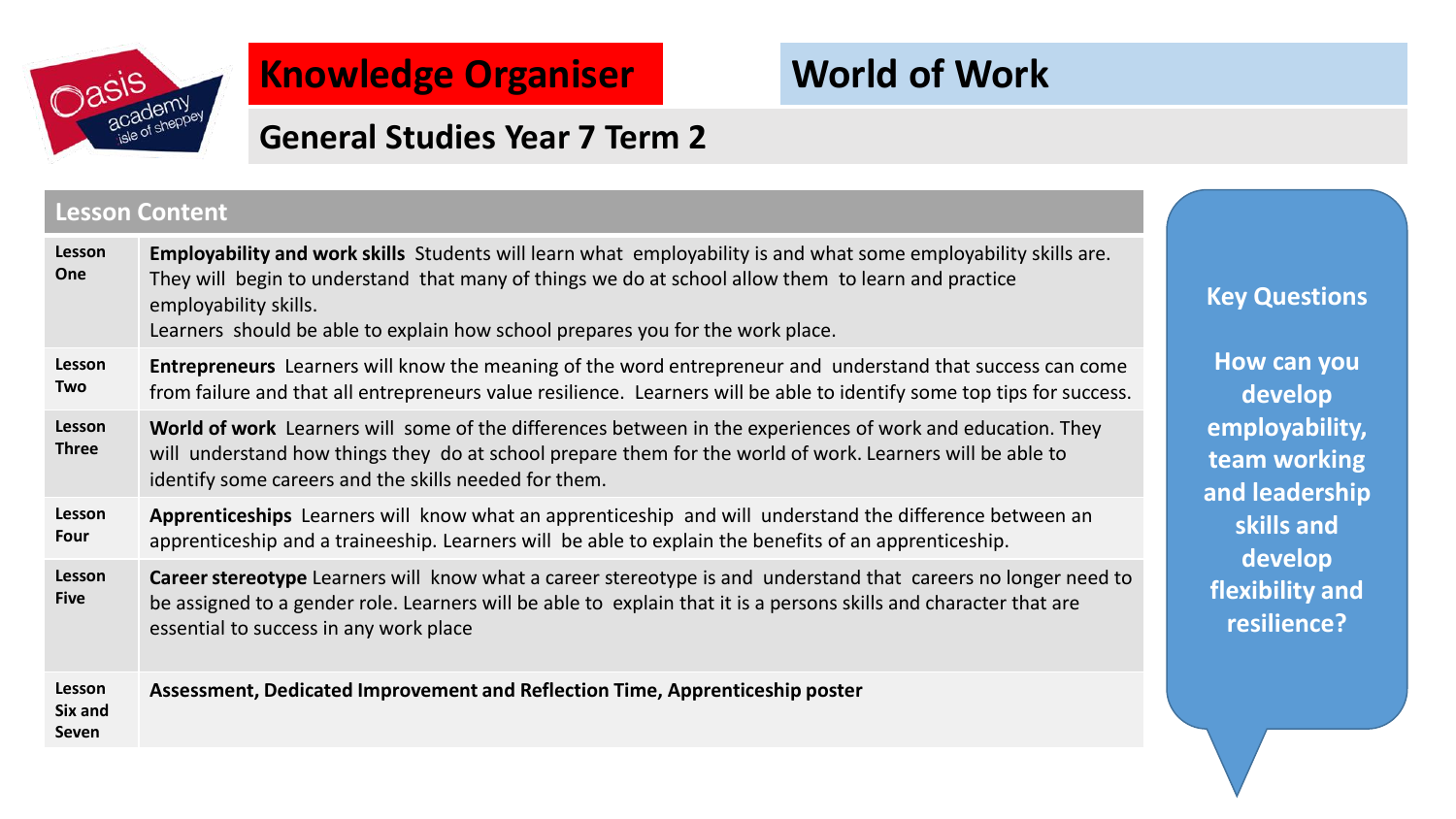

## **Knowledge Organiser**

# **World of Work**

## **General Studies Year 7 Term 2**

#### **Lesson Content**

| Lesson<br>One              | Employability and work skills Students will learn what employability is and what some employability skills are.<br>They will begin to understand that many of things we do at school allow them to learn and practice<br>employability skills.<br>Learners should be able to explain how school prepares you for the work place. |
|----------------------------|----------------------------------------------------------------------------------------------------------------------------------------------------------------------------------------------------------------------------------------------------------------------------------------------------------------------------------|
| <b>Lesson</b><br>Two       | <b>Entrepreneurs</b> Learners will know the meaning of the word entrepreneur and understand that success can come<br>from failure and that all entrepreneurs value resilience. Learners will be able to identify some top tips for success.                                                                                      |
| Lesson<br><b>Three</b>     | World of work Learners will some of the differences between in the experiences of work and education. They<br>will understand how things they do at school prepare them for the world of work. Learners will be able to<br>identify some careers and the skills needed for them.                                                 |
| Lesson<br>Four             | Apprenticeships Learners will know what an apprenticeship and will understand the difference between an<br>apprenticeship and a traineeship. Learners will be able to explain the benefits of an apprenticeship.                                                                                                                 |
| Lesson<br><b>Five</b>      | Career stereotype Learners will know what a career stereotype is and understand that careers no longer need to<br>be assigned to a gender role. Learners will be able to explain that it is a persons skills and character that are<br>essential to success in any work place                                                    |
| Lesson<br>Six and<br>Seven | Assessment, Dedicated Improvement and Reflection Time, Apprenticeship poster                                                                                                                                                                                                                                                     |

**Key Questions**

**How can you develop employability, team working and leadership skills and develop flexibility and resilience?**